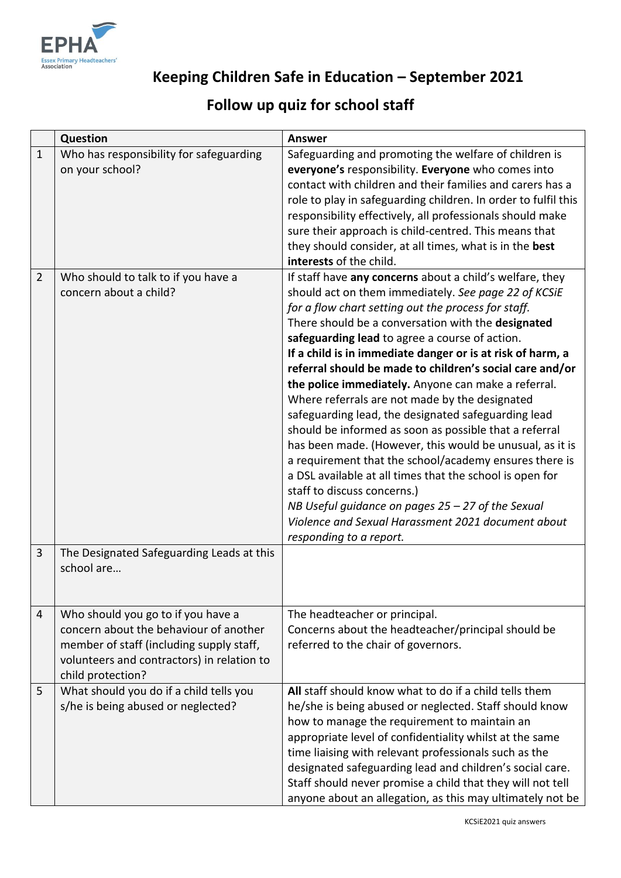

## **Keeping Children Safe in Education – September 2021**

## **Follow up quiz for school staff**

|                | <b>Question</b>                            | <b>Answer</b>                                                  |
|----------------|--------------------------------------------|----------------------------------------------------------------|
| $\mathbf{1}$   | Who has responsibility for safeguarding    | Safeguarding and promoting the welfare of children is          |
|                | on your school?                            | everyone's responsibility. Everyone who comes into             |
|                |                                            | contact with children and their families and carers has a      |
|                |                                            | role to play in safeguarding children. In order to fulfil this |
|                |                                            | responsibility effectively, all professionals should make      |
|                |                                            | sure their approach is child-centred. This means that          |
|                |                                            | they should consider, at all times, what is in the best        |
|                |                                            | interests of the child.                                        |
| $\overline{2}$ | Who should to talk to if you have a        | If staff have any concerns about a child's welfare, they       |
|                | concern about a child?                     | should act on them immediately. See page 22 of KCSiE           |
|                |                                            | for a flow chart setting out the process for staff.            |
|                |                                            | There should be a conversation with the designated             |
|                |                                            | safeguarding lead to agree a course of action.                 |
|                |                                            | If a child is in immediate danger or is at risk of harm, a     |
|                |                                            | referral should be made to children's social care and/or       |
|                |                                            | the police immediately. Anyone can make a referral.            |
|                |                                            | Where referrals are not made by the designated                 |
|                |                                            | safeguarding lead, the designated safeguarding lead            |
|                |                                            | should be informed as soon as possible that a referral         |
|                |                                            | has been made. (However, this would be unusual, as it is       |
|                |                                            | a requirement that the school/academy ensures there is         |
|                |                                            | a DSL available at all times that the school is open for       |
|                |                                            | staff to discuss concerns.)                                    |
|                |                                            | NB Useful guidance on pages $25 - 27$ of the Sexual            |
|                |                                            | Violence and Sexual Harassment 2021 document about             |
|                |                                            | responding to a report.                                        |
| 3              | The Designated Safeguarding Leads at this  |                                                                |
|                | school are                                 |                                                                |
|                |                                            |                                                                |
|                |                                            |                                                                |
| $\overline{4}$ | Who should you go to if you have a         | The headteacher or principal.                                  |
|                | concern about the behaviour of another     | Concerns about the headteacher/principal should be             |
|                | member of staff (including supply staff,   | referred to the chair of governors.                            |
|                | volunteers and contractors) in relation to |                                                                |
|                |                                            |                                                                |
|                | child protection?                          | All staff should know what to do if a child tells them         |
| 5              | What should you do if a child tells you    |                                                                |
|                | s/he is being abused or neglected?         | he/she is being abused or neglected. Staff should know         |
|                |                                            | how to manage the requirement to maintain an                   |
|                |                                            | appropriate level of confidentiality whilst at the same        |
|                |                                            | time liaising with relevant professionals such as the          |
|                |                                            | designated safeguarding lead and children's social care.       |
|                |                                            | Staff should never promise a child that they will not tell     |
|                |                                            | anyone about an allegation, as this may ultimately not be      |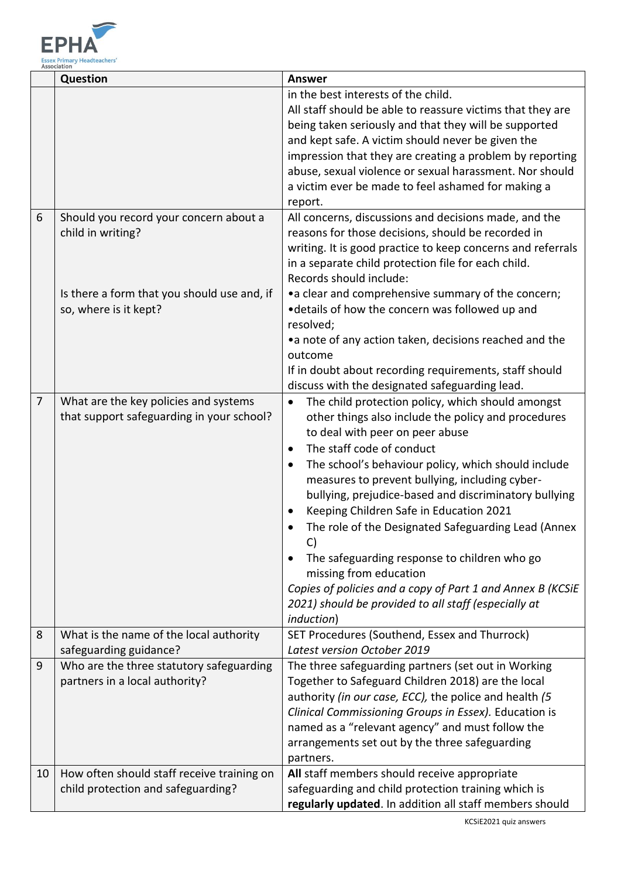

|    | Question                                                                           | <b>Answer</b>                                                                                                                                                                                                                                                                                                                                                                                                                                                                                                                                                                                                                                                                                      |
|----|------------------------------------------------------------------------------------|----------------------------------------------------------------------------------------------------------------------------------------------------------------------------------------------------------------------------------------------------------------------------------------------------------------------------------------------------------------------------------------------------------------------------------------------------------------------------------------------------------------------------------------------------------------------------------------------------------------------------------------------------------------------------------------------------|
|    |                                                                                    | in the best interests of the child.<br>All staff should be able to reassure victims that they are<br>being taken seriously and that they will be supported<br>and kept safe. A victim should never be given the<br>impression that they are creating a problem by reporting<br>abuse, sexual violence or sexual harassment. Nor should<br>a victim ever be made to feel ashamed for making a<br>report.                                                                                                                                                                                                                                                                                            |
| 6  | Should you record your concern about a<br>child in writing?                        | All concerns, discussions and decisions made, and the<br>reasons for those decisions, should be recorded in<br>writing. It is good practice to keep concerns and referrals<br>in a separate child protection file for each child.<br>Records should include:                                                                                                                                                                                                                                                                                                                                                                                                                                       |
|    | Is there a form that you should use and, if<br>so, where is it kept?               | • a clear and comprehensive summary of the concern;<br>•details of how the concern was followed up and<br>resolved;<br>•a note of any action taken, decisions reached and the<br>outcome<br>If in doubt about recording requirements, staff should<br>discuss with the designated safeguarding lead.                                                                                                                                                                                                                                                                                                                                                                                               |
| 7  | What are the key policies and systems<br>that support safeguarding in your school? | The child protection policy, which should amongst<br>$\bullet$<br>other things also include the policy and procedures<br>to deal with peer on peer abuse<br>The staff code of conduct<br>$\bullet$<br>The school's behaviour policy, which should include<br>measures to prevent bullying, including cyber-<br>bullying, prejudice-based and discriminatory bullying<br>Keeping Children Safe in Education 2021<br>The role of the Designated Safeguarding Lead (Annex<br>C)<br>The safeguarding response to children who go<br>missing from education<br>Copies of policies and a copy of Part 1 and Annex B (KCSiE<br>2021) should be provided to all staff (especially at<br><i>induction</i> ) |
| 8  | What is the name of the local authority<br>safeguarding guidance?                  | SET Procedures (Southend, Essex and Thurrock)<br>Latest version October 2019                                                                                                                                                                                                                                                                                                                                                                                                                                                                                                                                                                                                                       |
| 9  | Who are the three statutory safeguarding<br>partners in a local authority?         | The three safeguarding partners (set out in Working<br>Together to Safeguard Children 2018) are the local<br>authority (in our case, ECC), the police and health (5<br>Clinical Commissioning Groups in Essex). Education is<br>named as a "relevant agency" and must follow the<br>arrangements set out by the three safeguarding<br>partners.                                                                                                                                                                                                                                                                                                                                                    |
| 10 | How often should staff receive training on<br>child protection and safeguarding?   | All staff members should receive appropriate<br>safeguarding and child protection training which is<br>regularly updated. In addition all staff members should<br>KCSiE2021 quiz answers                                                                                                                                                                                                                                                                                                                                                                                                                                                                                                           |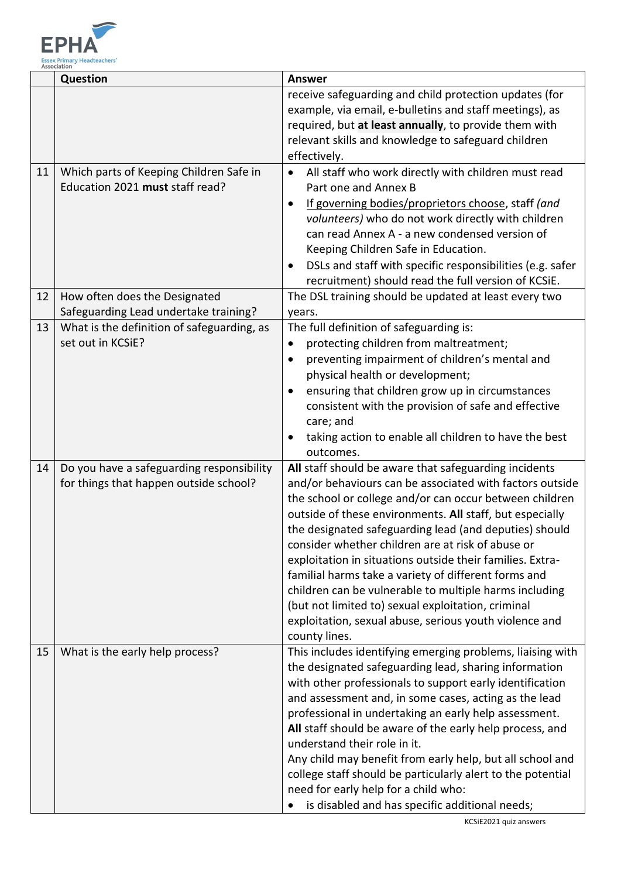

|    | <b>Question</b>                                                                     | <b>Answer</b>                                                                                                                                                                                                                                                                                                                                                                                                                                                                                                                                                                                                                                                           |
|----|-------------------------------------------------------------------------------------|-------------------------------------------------------------------------------------------------------------------------------------------------------------------------------------------------------------------------------------------------------------------------------------------------------------------------------------------------------------------------------------------------------------------------------------------------------------------------------------------------------------------------------------------------------------------------------------------------------------------------------------------------------------------------|
|    |                                                                                     | receive safeguarding and child protection updates (for<br>example, via email, e-bulletins and staff meetings), as<br>required, but at least annually, to provide them with<br>relevant skills and knowledge to safeguard children<br>effectively.                                                                                                                                                                                                                                                                                                                                                                                                                       |
| 11 | Which parts of Keeping Children Safe in<br>Education 2021 must staff read?          | All staff who work directly with children must read<br>$\bullet$<br>Part one and Annex B<br>If governing bodies/proprietors choose, staff (and<br>volunteers) who do not work directly with children<br>can read Annex A - a new condensed version of<br>Keeping Children Safe in Education.<br>DSLs and staff with specific responsibilities (e.g. safer<br>recruitment) should read the full version of KCSiE.                                                                                                                                                                                                                                                        |
| 12 | How often does the Designated<br>Safeguarding Lead undertake training?              | The DSL training should be updated at least every two<br>years.                                                                                                                                                                                                                                                                                                                                                                                                                                                                                                                                                                                                         |
| 13 | What is the definition of safeguarding, as<br>set out in KCSiE?                     | The full definition of safeguarding is:<br>protecting children from maltreatment;<br>٠<br>preventing impairment of children's mental and<br>physical health or development;<br>ensuring that children grow up in circumstances<br>consistent with the provision of safe and effective<br>care; and<br>taking action to enable all children to have the best<br>outcomes.                                                                                                                                                                                                                                                                                                |
| 14 | Do you have a safeguarding responsibility<br>for things that happen outside school? | All staff should be aware that safeguarding incidents<br>and/or behaviours can be associated with factors outside<br>the school or college and/or can occur between children<br>outside of these environments. All staff, but especially<br>the designated safeguarding lead (and deputies) should<br>consider whether children are at risk of abuse or<br>exploitation in situations outside their families. Extra-<br>familial harms take a variety of different forms and<br>children can be vulnerable to multiple harms including<br>(but not limited to) sexual exploitation, criminal<br>exploitation, sexual abuse, serious youth violence and<br>county lines. |
| 15 | What is the early help process?                                                     | This includes identifying emerging problems, liaising with<br>the designated safeguarding lead, sharing information<br>with other professionals to support early identification<br>and assessment and, in some cases, acting as the lead<br>professional in undertaking an early help assessment.<br>All staff should be aware of the early help process, and<br>understand their role in it.<br>Any child may benefit from early help, but all school and<br>college staff should be particularly alert to the potential<br>need for early help for a child who:<br>is disabled and has specific additional needs;                                                     |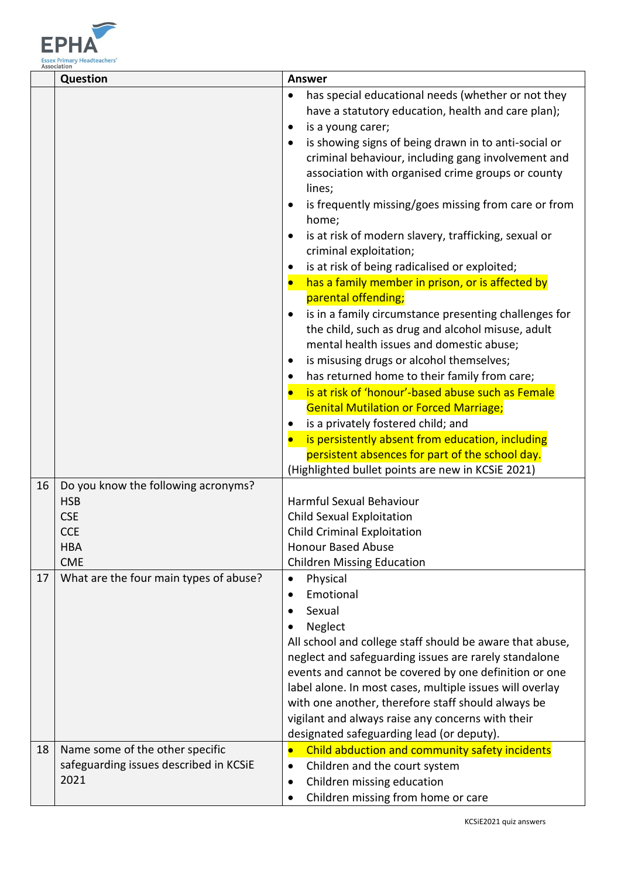

|    | Question                               | <b>Answer</b>                                                              |
|----|----------------------------------------|----------------------------------------------------------------------------|
|    |                                        | has special educational needs (whether or not they<br>$\bullet$            |
|    |                                        | have a statutory education, health and care plan);                         |
|    |                                        | is a young carer;                                                          |
|    |                                        | is showing signs of being drawn in to anti-social or                       |
|    |                                        | criminal behaviour, including gang involvement and                         |
|    |                                        | association with organised crime groups or county                          |
|    |                                        | lines;                                                                     |
|    |                                        | is frequently missing/goes missing from care or from<br>$\bullet$<br>home; |
|    |                                        | is at risk of modern slavery, trafficking, sexual or<br>$\bullet$          |
|    |                                        | criminal exploitation;                                                     |
|    |                                        | is at risk of being radicalised or exploited;<br>$\bullet$                 |
|    |                                        | has a family member in prison, or is affected by<br>$\bullet$              |
|    |                                        | parental offending;                                                        |
|    |                                        | is in a family circumstance presenting challenges for                      |
|    |                                        | the child, such as drug and alcohol misuse, adult                          |
|    |                                        | mental health issues and domestic abuse;                                   |
|    |                                        | is misusing drugs or alcohol themselves;<br>$\bullet$                      |
|    |                                        | has returned home to their family from care;<br>٠                          |
|    |                                        | is at risk of 'honour'-based abuse such as Female                          |
|    |                                        | <b>Genital Mutilation or Forced Marriage;</b>                              |
|    |                                        | is a privately fostered child; and                                         |
|    |                                        | is persistently absent from education, including                           |
|    |                                        | persistent absences for part of the school day.                            |
|    |                                        | (Highlighted bullet points are new in KCSiE 2021)                          |
| 16 | Do you know the following acronyms?    |                                                                            |
|    | <b>HSB</b><br><b>CSE</b>               | Harmful Sexual Behaviour                                                   |
|    | <b>CCE</b>                             | Child Sexual Exploitation                                                  |
|    | <b>HBA</b>                             | <b>Child Criminal Exploitation</b><br><b>Honour Based Abuse</b>            |
|    | <b>CME</b>                             | <b>Children Missing Education</b>                                          |
| 17 | What are the four main types of abuse? | Physical<br>$\bullet$                                                      |
|    |                                        | Emotional                                                                  |
|    |                                        | Sexual<br>$\bullet$                                                        |
|    |                                        | Neglect                                                                    |
|    |                                        | All school and college staff should be aware that abuse,                   |
|    |                                        | neglect and safeguarding issues are rarely standalone                      |
|    |                                        | events and cannot be covered by one definition or one                      |
|    |                                        | label alone. In most cases, multiple issues will overlay                   |
|    |                                        | with one another, therefore staff should always be                         |
|    |                                        | vigilant and always raise any concerns with their                          |
|    |                                        | designated safeguarding lead (or deputy).                                  |
| 18 | Name some of the other specific        | Child abduction and community safety incidents<br>$\bullet$                |
|    | safeguarding issues described in KCSiE | Children and the court system<br>$\bullet$                                 |
|    | 2021                                   | Children missing education                                                 |
|    |                                        | Children missing from home or care                                         |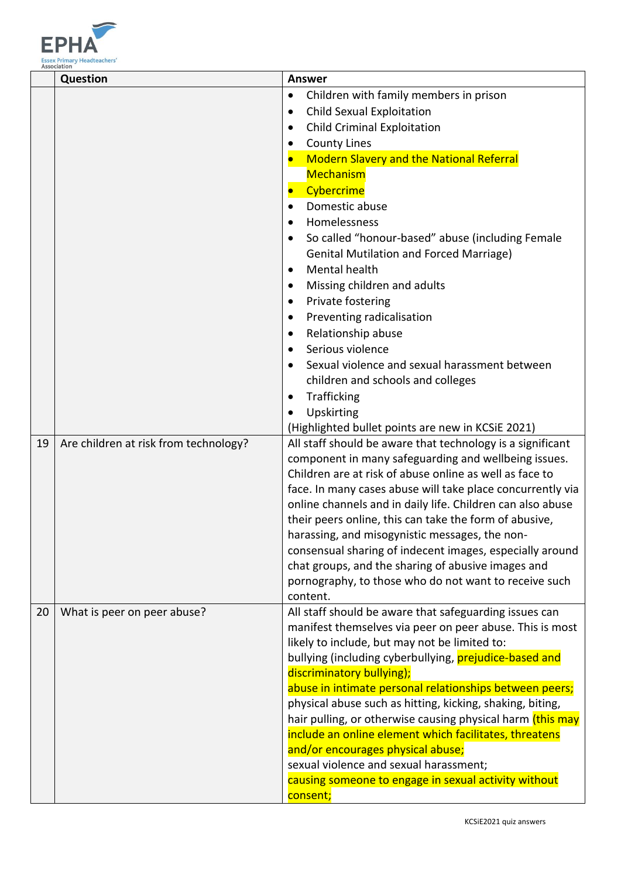

|    | Question                              | Answer                                                                                      |
|----|---------------------------------------|---------------------------------------------------------------------------------------------|
|    |                                       | Children with family members in prison<br>$\bullet$                                         |
|    |                                       | <b>Child Sexual Exploitation</b><br>$\bullet$                                               |
|    |                                       | <b>Child Criminal Exploitation</b>                                                          |
|    |                                       | <b>County Lines</b><br>$\bullet$                                                            |
|    |                                       | <b>Modern Slavery and the National Referral</b><br>$\bullet$                                |
|    |                                       | <b>Mechanism</b>                                                                            |
|    |                                       | Cybercrime<br>$\bullet$                                                                     |
|    |                                       | Domestic abuse                                                                              |
|    |                                       | Homelessness                                                                                |
|    |                                       | So called "honour-based" abuse (including Female                                            |
|    |                                       | <b>Genital Mutilation and Forced Marriage)</b>                                              |
|    |                                       | <b>Mental health</b><br>$\bullet$                                                           |
|    |                                       | Missing children and adults<br>$\bullet$                                                    |
|    |                                       | Private fostering<br>$\bullet$                                                              |
|    |                                       | Preventing radicalisation<br>$\bullet$                                                      |
|    |                                       | Relationship abuse                                                                          |
|    |                                       | Serious violence<br>$\bullet$                                                               |
|    |                                       | Sexual violence and sexual harassment between                                               |
|    |                                       | children and schools and colleges                                                           |
|    |                                       | Trafficking<br>٠                                                                            |
|    |                                       | Upskirting<br>$\bullet$                                                                     |
|    |                                       | (Highlighted bullet points are new in KCSiE 2021)                                           |
| 19 | Are children at risk from technology? | All staff should be aware that technology is a significant                                  |
|    |                                       | component in many safeguarding and wellbeing issues.                                        |
|    |                                       | Children are at risk of abuse online as well as face to                                     |
|    |                                       | face. In many cases abuse will take place concurrently via                                  |
|    |                                       | online channels and in daily life. Children can also abuse                                  |
|    |                                       | their peers online, this can take the form of abusive,                                      |
|    |                                       | harassing, and misogynistic messages, the non-                                              |
|    |                                       | consensual sharing of indecent images, especially around                                    |
|    |                                       | chat groups, and the sharing of abusive images and                                          |
|    |                                       | pornography, to those who do not want to receive such                                       |
|    |                                       | content.                                                                                    |
| 20 | What is peer on peer abuse?           | All staff should be aware that safeguarding issues can                                      |
|    |                                       | manifest themselves via peer on peer abuse. This is most                                    |
|    |                                       | likely to include, but may not be limited to:                                               |
|    |                                       | bullying (including cyberbullying, prejudice-based and                                      |
|    |                                       | discriminatory bullying);                                                                   |
|    |                                       | abuse in intimate personal relationships between peers;                                     |
|    |                                       | physical abuse such as hitting, kicking, shaking, biting,                                   |
|    |                                       | hair pulling, or otherwise causing physical harm (this may                                  |
|    |                                       | include an online element which facilitates, threatens<br>and/or encourages physical abuse; |
|    |                                       | sexual violence and sexual harassment;                                                      |
|    |                                       | causing someone to engage in sexual activity without                                        |
|    |                                       | consent;                                                                                    |
|    |                                       |                                                                                             |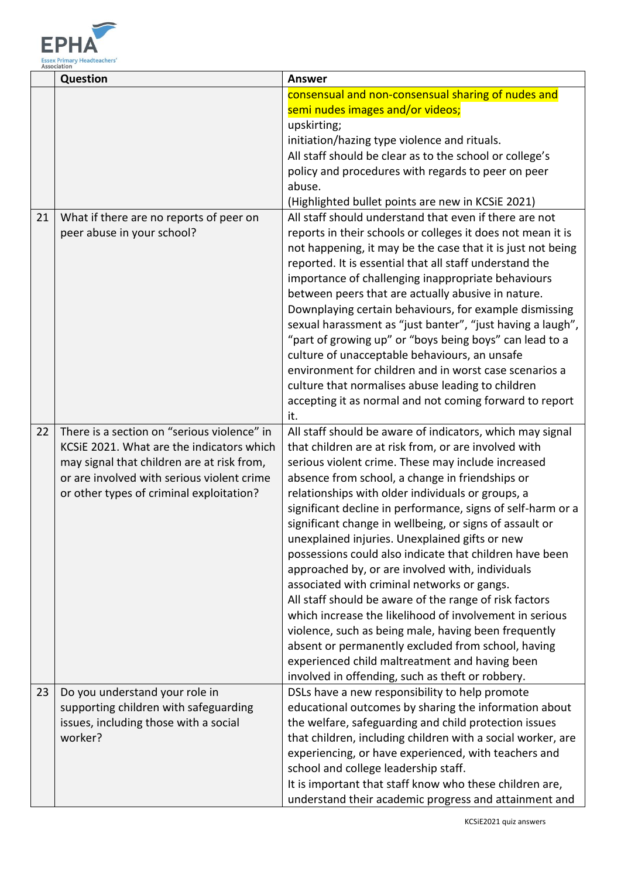

|    | Question                                    | <b>Answer</b>                                               |
|----|---------------------------------------------|-------------------------------------------------------------|
|    |                                             | consensual and non-consensual sharing of nudes and          |
|    |                                             | semi nudes images and/or videos;                            |
|    |                                             | upskirting;                                                 |
|    |                                             | initiation/hazing type violence and rituals.                |
|    |                                             | All staff should be clear as to the school or college's     |
|    |                                             | policy and procedures with regards to peer on peer          |
|    |                                             | abuse.                                                      |
|    |                                             | (Highlighted bullet points are new in KCSiE 2021)           |
| 21 | What if there are no reports of peer on     | All staff should understand that even if there are not      |
|    | peer abuse in your school?                  | reports in their schools or colleges it does not mean it is |
|    |                                             | not happening, it may be the case that it is just not being |
|    |                                             | reported. It is essential that all staff understand the     |
|    |                                             | importance of challenging inappropriate behaviours          |
|    |                                             | between peers that are actually abusive in nature.          |
|    |                                             | Downplaying certain behaviours, for example dismissing      |
|    |                                             | sexual harassment as "just banter", "just having a laugh",  |
|    |                                             | "part of growing up" or "boys being boys" can lead to a     |
|    |                                             | culture of unacceptable behaviours, an unsafe               |
|    |                                             | environment for children and in worst case scenarios a      |
|    |                                             | culture that normalises abuse leading to children           |
|    |                                             | accepting it as normal and not coming forward to report     |
|    |                                             | it.                                                         |
| 22 | There is a section on "serious violence" in | All staff should be aware of indicators, which may signal   |
|    | KCSIE 2021. What are the indicators which   | that children are at risk from, or are involved with        |
|    | may signal that children are at risk from,  | serious violent crime. These may include increased          |
|    | or are involved with serious violent crime  | absence from school, a change in friendships or             |
|    | or other types of criminal exploitation?    | relationships with older individuals or groups, a           |
|    |                                             | significant decline in performance, signs of self-harm or a |
|    |                                             | significant change in wellbeing, or signs of assault or     |
|    |                                             | unexplained injuries. Unexplained gifts or new              |
|    |                                             | possessions could also indicate that children have been     |
|    |                                             | approached by, or are involved with, individuals            |
|    |                                             | associated with criminal networks or gangs.                 |
|    |                                             | All staff should be aware of the range of risk factors      |
|    |                                             | which increase the likelihood of involvement in serious     |
|    |                                             | violence, such as being male, having been frequently        |
|    |                                             | absent or permanently excluded from school, having          |
|    |                                             | experienced child maltreatment and having been              |
|    |                                             | involved in offending, such as theft or robbery.            |
| 23 | Do you understand your role in              | DSLs have a new responsibility to help promote              |
|    | supporting children with safeguarding       | educational outcomes by sharing the information about       |
|    | issues, including those with a social       | the welfare, safeguarding and child protection issues       |
|    | worker?                                     | that children, including children with a social worker, are |
|    |                                             | experiencing, or have experienced, with teachers and        |
|    |                                             | school and college leadership staff.                        |
|    |                                             | It is important that staff know who these children are,     |
|    |                                             | understand their academic progress and attainment and       |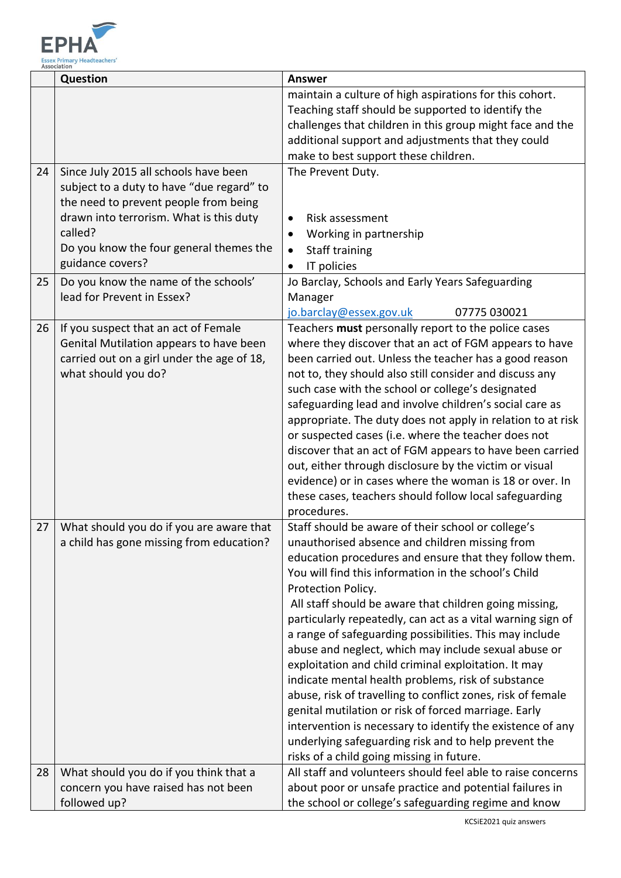

| maintain a culture of high aspirations for this cohort.<br>Teaching staff should be supported to identify the<br>challenges that children in this group might face and the<br>additional support and adjustments that they could<br>make to best support these children.<br>24<br>Since July 2015 all schools have been<br>The Prevent Duty.<br>subject to a duty to have "due regard" to<br>the need to prevent people from being<br>drawn into terrorism. What is this duty<br>Risk assessment<br>$\bullet$<br>called?<br>Working in partnership<br>٠<br>Do you know the four general themes the<br><b>Staff training</b><br>$\bullet$<br>guidance covers?<br>IT policies<br>Do you know the name of the schools'<br>Jo Barclay, Schools and Early Years Safeguarding<br>25<br>lead for Prevent in Essex?<br>Manager<br>jo.barclay@essex.gov.uk<br>07775 030021<br>If you suspect that an act of Female<br>Teachers must personally report to the police cases<br>26<br>Genital Mutilation appears to have been<br>where they discover that an act of FGM appears to have<br>carried out on a girl under the age of 18,<br>been carried out. Unless the teacher has a good reason<br>what should you do?<br>not to, they should also still consider and discuss any<br>such case with the school or college's designated<br>safeguarding lead and involve children's social care as<br>appropriate. The duty does not apply in relation to at risk<br>or suspected cases (i.e. where the teacher does not<br>discover that an act of FGM appears to have been carried<br>out, either through disclosure by the victim or visual<br>evidence) or in cases where the woman is 18 or over. In<br>these cases, teachers should follow local safeguarding<br>procedures.<br>What should you do if you are aware that<br>Staff should be aware of their school or college's<br>27<br>a child has gone missing from education?<br>unauthorised absence and children missing from<br>education procedures and ensure that they follow them.<br>You will find this information in the school's Child<br>Protection Policy.<br>All staff should be aware that children going missing,<br>particularly repeatedly, can act as a vital warning sign of<br>a range of safeguarding possibilities. This may include<br>abuse and neglect, which may include sexual abuse or<br>exploitation and child criminal exploitation. It may<br>indicate mental health problems, risk of substance<br>abuse, risk of travelling to conflict zones, risk of female<br>genital mutilation or risk of forced marriage. Early<br>intervention is necessary to identify the existence of any<br>underlying safeguarding risk and to help prevent the<br>risks of a child going missing in future.<br>What should you do if you think that a<br>All staff and volunteers should feel able to raise concerns<br>28<br>concern you have raised has not been<br>about poor or unsafe practice and potential failures in | Question     | <b>Answer</b>                                        |
|-------------------------------------------------------------------------------------------------------------------------------------------------------------------------------------------------------------------------------------------------------------------------------------------------------------------------------------------------------------------------------------------------------------------------------------------------------------------------------------------------------------------------------------------------------------------------------------------------------------------------------------------------------------------------------------------------------------------------------------------------------------------------------------------------------------------------------------------------------------------------------------------------------------------------------------------------------------------------------------------------------------------------------------------------------------------------------------------------------------------------------------------------------------------------------------------------------------------------------------------------------------------------------------------------------------------------------------------------------------------------------------------------------------------------------------------------------------------------------------------------------------------------------------------------------------------------------------------------------------------------------------------------------------------------------------------------------------------------------------------------------------------------------------------------------------------------------------------------------------------------------------------------------------------------------------------------------------------------------------------------------------------------------------------------------------------------------------------------------------------------------------------------------------------------------------------------------------------------------------------------------------------------------------------------------------------------------------------------------------------------------------------------------------------------------------------------------------------------------------------------------------------------------------------------------------------------------------------------------------------------------------------------------------------------------------------------------------------------------------------------------------------------------------------------------------------------------------------------------------------------------------------------------------------------------------------------------------------------------------------|--------------|------------------------------------------------------|
|                                                                                                                                                                                                                                                                                                                                                                                                                                                                                                                                                                                                                                                                                                                                                                                                                                                                                                                                                                                                                                                                                                                                                                                                                                                                                                                                                                                                                                                                                                                                                                                                                                                                                                                                                                                                                                                                                                                                                                                                                                                                                                                                                                                                                                                                                                                                                                                                                                                                                                                                                                                                                                                                                                                                                                                                                                                                                                                                                                                           |              |                                                      |
|                                                                                                                                                                                                                                                                                                                                                                                                                                                                                                                                                                                                                                                                                                                                                                                                                                                                                                                                                                                                                                                                                                                                                                                                                                                                                                                                                                                                                                                                                                                                                                                                                                                                                                                                                                                                                                                                                                                                                                                                                                                                                                                                                                                                                                                                                                                                                                                                                                                                                                                                                                                                                                                                                                                                                                                                                                                                                                                                                                                           |              |                                                      |
|                                                                                                                                                                                                                                                                                                                                                                                                                                                                                                                                                                                                                                                                                                                                                                                                                                                                                                                                                                                                                                                                                                                                                                                                                                                                                                                                                                                                                                                                                                                                                                                                                                                                                                                                                                                                                                                                                                                                                                                                                                                                                                                                                                                                                                                                                                                                                                                                                                                                                                                                                                                                                                                                                                                                                                                                                                                                                                                                                                                           |              |                                                      |
|                                                                                                                                                                                                                                                                                                                                                                                                                                                                                                                                                                                                                                                                                                                                                                                                                                                                                                                                                                                                                                                                                                                                                                                                                                                                                                                                                                                                                                                                                                                                                                                                                                                                                                                                                                                                                                                                                                                                                                                                                                                                                                                                                                                                                                                                                                                                                                                                                                                                                                                                                                                                                                                                                                                                                                                                                                                                                                                                                                                           |              |                                                      |
|                                                                                                                                                                                                                                                                                                                                                                                                                                                                                                                                                                                                                                                                                                                                                                                                                                                                                                                                                                                                                                                                                                                                                                                                                                                                                                                                                                                                                                                                                                                                                                                                                                                                                                                                                                                                                                                                                                                                                                                                                                                                                                                                                                                                                                                                                                                                                                                                                                                                                                                                                                                                                                                                                                                                                                                                                                                                                                                                                                                           |              |                                                      |
|                                                                                                                                                                                                                                                                                                                                                                                                                                                                                                                                                                                                                                                                                                                                                                                                                                                                                                                                                                                                                                                                                                                                                                                                                                                                                                                                                                                                                                                                                                                                                                                                                                                                                                                                                                                                                                                                                                                                                                                                                                                                                                                                                                                                                                                                                                                                                                                                                                                                                                                                                                                                                                                                                                                                                                                                                                                                                                                                                                                           | followed up? | the school or college's safeguarding regime and know |